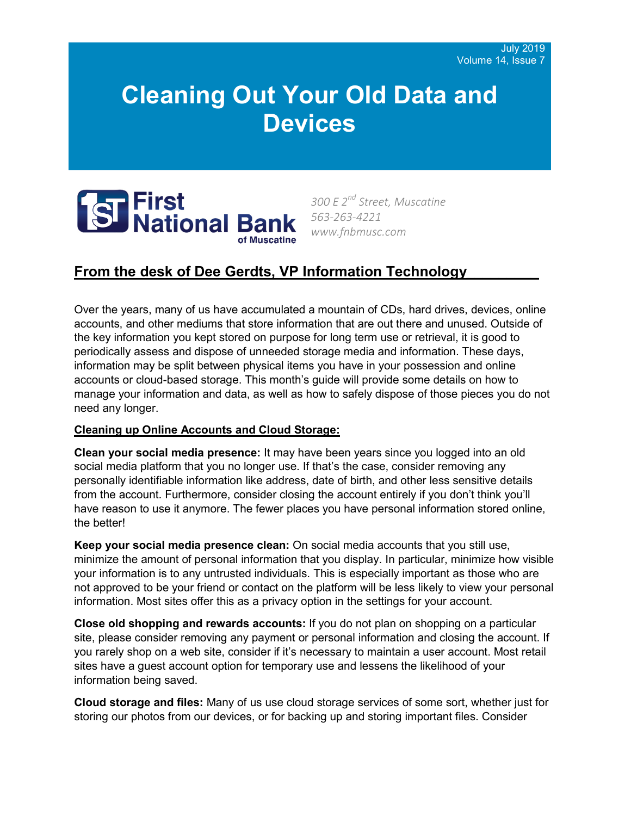# **Cleaning Out Your Old Data and Devices**



*300 E 2nd Street, Muscatine 563-263-4221 www.fnbmusc.com*

## **From the desk of Dee Gerdts, VP Information Technology\_\_\_\_\_\_\_\_\_**

Over the years, many of us have accumulated a mountain of CDs, hard drives, devices, online accounts, and other mediums that store information that are out there and unused. Outside of the key information you kept stored on purpose for long term use or retrieval, it is good to periodically assess and dispose of unneeded storage media and information. These days, information may be split between physical items you have in your possession and online accounts or cloud-based storage. This month's guide will provide some details on how to manage your information and data, as well as how to safely dispose of those pieces you do not need any longer.

### **Cleaning up Online Accounts and Cloud Storage:**

**Clean your social media presence:** It may have been years since you logged into an old social media platform that you no longer use. If that's the case, consider removing any personally identifiable information like address, date of birth, and other less sensitive details from the account. Furthermore, consider closing the account entirely if you don't think you'll have reason to use it anymore. The fewer places you have personal information stored online, the better!

**Keep your social media presence clean:** On social media accounts that you still use, minimize the amount of personal information that you display. In particular, minimize how visible your information is to any untrusted individuals. This is especially important as those who are not approved to be your friend or contact on the platform will be less likely to view your personal information. Most sites offer this as a privacy option in the settings for your account.

**Close old shopping and rewards accounts:** If you do not plan on shopping on a particular site, please consider removing any payment or personal information and closing the account. If you rarely shop on a web site, consider if it's necessary to maintain a user account. Most retail sites have a guest account option for temporary use and lessens the likelihood of your information being saved.

**Cloud storage and files:** Many of us use cloud storage services of some sort, whether just for storing our photos from our devices, or for backing up and storing important files. Consider